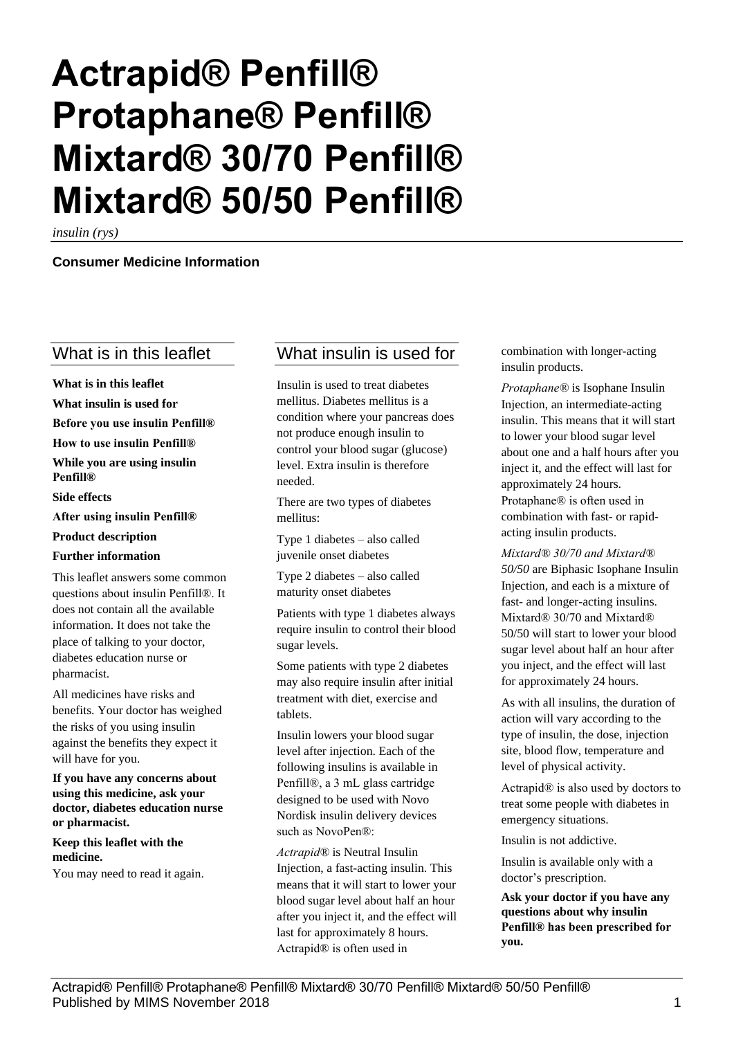# **Actrapid® Penfill® Protaphane® Penfill® Mixtard® 30/70 Penfill® Mixtard® 50/50 Penfill®**

*insulin (rys)*

#### **Consumer Medicine Information**

## What is in this leaflet

**What is in this leaflet What insulin is used for Before you use insulin Penfill® How to use insulin Penfill® While you are using insulin Penfill® Side effects After using insulin Penfill® Product description Further information** This leaflet answers some common

questions about insulin Penfill®. It does not contain all the available information. It does not take the place of talking to your doctor, diabetes education nurse or pharmacist.

All medicines have risks and benefits. Your doctor has weighed the risks of you using insulin against the benefits they expect it will have for you.

**If you have any concerns about using this medicine, ask your doctor, diabetes education nurse or pharmacist.**

**Keep this leaflet with the medicine.**

You may need to read it again.

## What insulin is used for

Insulin is used to treat diabetes mellitus. Diabetes mellitus is a condition where your pancreas does not produce enough insulin to control your blood sugar (glucose) level. Extra insulin is therefore needed.

There are two types of diabetes mellitus:

Type 1 diabetes – also called juvenile onset diabetes

Type 2 diabetes – also called maturity onset diabetes

Patients with type 1 diabetes always require insulin to control their blood sugar levels.

Some patients with type 2 diabetes may also require insulin after initial treatment with diet, exercise and tablets.

Insulin lowers your blood sugar level after injection. Each of the following insulins is available in Penfill®, a 3 mL glass cartridge designed to be used with Novo Nordisk insulin delivery devices such as NovoPen®:

*Actrapid®* is Neutral Insulin Injection, a fast-acting insulin. This means that it will start to lower your blood sugar level about half an hour after you inject it, and the effect will last for approximately 8 hours. Actrapid® is often used in

combination with longer-acting insulin products.

*Protaphane®* is Isophane Insulin Injection, an intermediate-acting insulin. This means that it will start to lower your blood sugar level about one and a half hours after you inject it, and the effect will last for approximately 24 hours. Protaphane® is often used in combination with fast- or rapidacting insulin products.

*Mixtard® 30/70 and Mixtard® 50/50* are Biphasic Isophane Insulin Injection, and each is a mixture of fast- and longer-acting insulins. Mixtard® 30/70 and Mixtard® 50/50 will start to lower your blood sugar level about half an hour after you inject, and the effect will last for approximately 24 hours.

As with all insulins, the duration of action will vary according to the type of insulin, the dose, injection site, blood flow, temperature and level of physical activity.

Actrapid® is also used by doctors to treat some people with diabetes in emergency situations.

Insulin is not addictive.

Insulin is available only with a doctor's prescription.

**Ask your doctor if you have any questions about why insulin Penfill® has been prescribed for you.**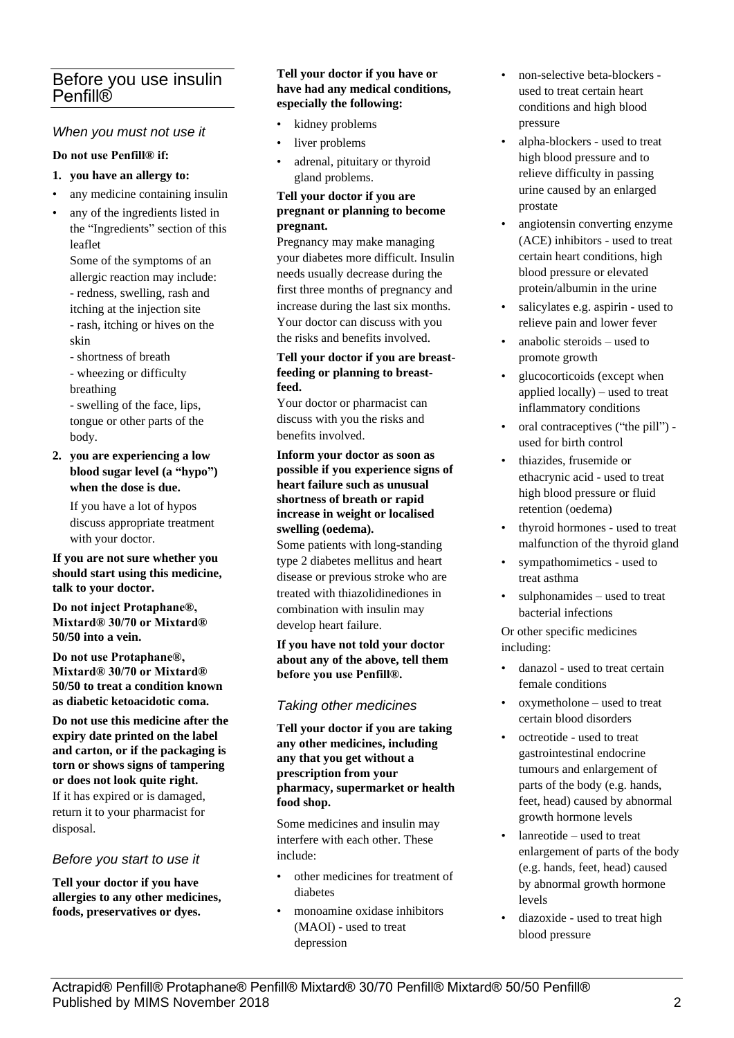# Before you use insulin Penfill®

#### *When you must not use it*

#### **Do not use Penfill® if:**

#### **1. you have an allergy to:**

- any medicine containing insulin
- any of the ingredients listed in the "Ingredients" section of this leaflet

Some of the symptoms of an allergic reaction may include: - redness, swelling, rash and itching at the injection site - rash, itching or hives on the skin

- shortness of breath

- wheezing or difficulty breathing

- swelling of the face, lips, tongue or other parts of the body.

**2. you are experiencing a low blood sugar level (a "hypo") when the dose is due.**

> If you have a lot of hypos discuss appropriate treatment with your doctor.

**If you are not sure whether you should start using this medicine, talk to your doctor.**

**Do not inject Protaphane®, Mixtard® 30/70 or Mixtard® 50/50 into a vein.**

**Do not use Protaphane®, Mixtard® 30/70 or Mixtard® 50/50 to treat a condition known as diabetic ketoacidotic coma.**

**Do not use this medicine after the expiry date printed on the label and carton, or if the packaging is torn or shows signs of tampering or does not look quite right.** If it has expired or is damaged, return it to your pharmacist for disposal.

#### *Before you start to use it*

**Tell your doctor if you have allergies to any other medicines, foods, preservatives or dyes.**

#### **Tell your doctor if you have or have had any medical conditions, especially the following:**

- kidney problems
- liver problems
- adrenal, pituitary or thyroid gland problems.

#### **Tell your doctor if you are pregnant or planning to become pregnant.**

Pregnancy may make managing your diabetes more difficult. Insulin needs usually decrease during the first three months of pregnancy and increase during the last six months. Your doctor can discuss with you the risks and benefits involved.

#### **Tell your doctor if you are breastfeeding or planning to breastfeed.**

Your doctor or pharmacist can discuss with you the risks and benefits involved.

**Inform your doctor as soon as possible if you experience signs of heart failure such as unusual shortness of breath or rapid increase in weight or localised swelling (oedema).**

Some patients with long-standing type 2 diabetes mellitus and heart disease or previous stroke who are treated with thiazolidinediones in combination with insulin may develop heart failure.

**If you have not told your doctor about any of the above, tell them before you use Penfill®.**

#### *Taking other medicines*

**Tell your doctor if you are taking any other medicines, including any that you get without a prescription from your pharmacy, supermarket or health food shop.**

Some medicines and insulin may interfere with each other. These include:

- other medicines for treatment of diabetes
- monoamine oxidase inhibitors (MAOI) - used to treat depression
- non-selective beta-blockers used to treat certain heart conditions and high blood pressure
- alpha-blockers used to treat high blood pressure and to relieve difficulty in passing urine caused by an enlarged prostate
- angiotensin converting enzyme (ACE) inhibitors - used to treat certain heart conditions, high blood pressure or elevated protein/albumin in the urine
- salicylates e.g. aspirin used to relieve pain and lower fever
- anabolic steroids used to promote growth
- glucocorticoids (except when applied locally) – used to treat inflammatory conditions
- oral contraceptives ("the pill") used for birth control
- thiazides, frusemide or ethacrynic acid - used to treat high blood pressure or fluid retention (oedema)
- thyroid hormones used to treat malfunction of the thyroid gland
- sympathomimetics used to treat asthma
- sulphonamides used to treat bacterial infections

Or other specific medicines including:

- danazol used to treat certain female conditions
- oxymetholone used to treat certain blood disorders
- octreotide used to treat gastrointestinal endocrine tumours and enlargement of parts of the body (e.g. hands, feet, head) caused by abnormal growth hormone levels
- lanreotide used to treat enlargement of parts of the body (e.g. hands, feet, head) caused by abnormal growth hormone levels
- diazoxide used to treat high blood pressure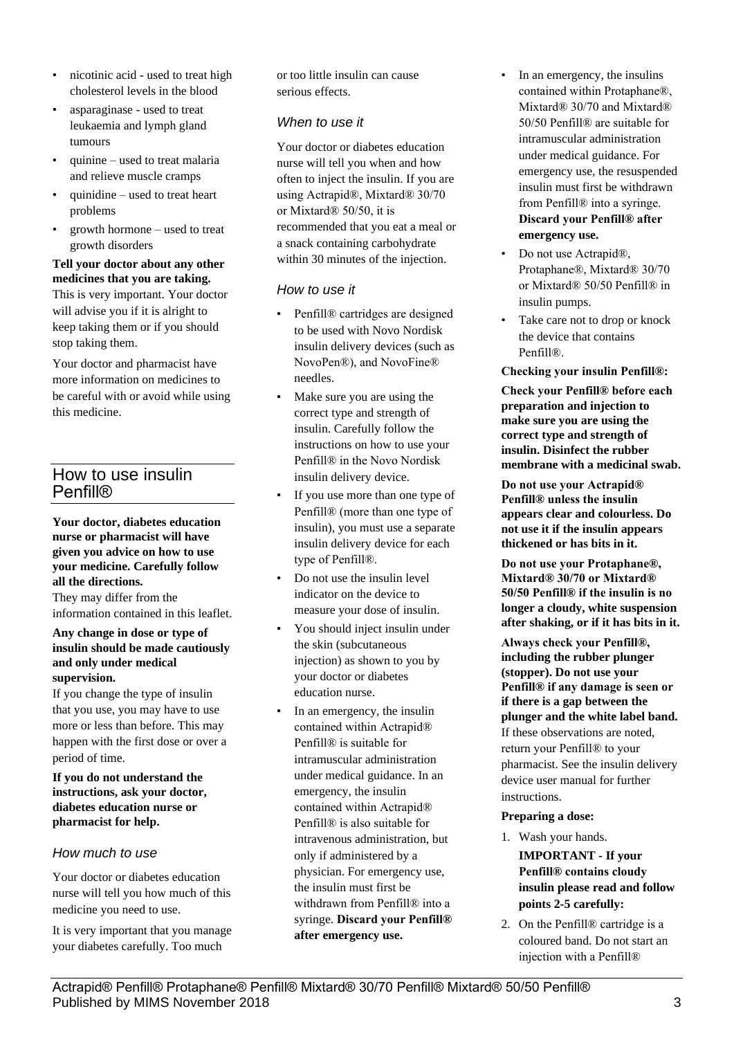- nicotinic acid used to treat high cholesterol levels in the blood
- asparaginase used to treat leukaemia and lymph gland tumours
- quinine used to treat malaria and relieve muscle cramps
- quinidine used to treat heart problems
- growth hormone used to treat growth disorders

#### **Tell your doctor about any other medicines that you are taking.**

This is very important. Your doctor will advise you if it is alright to keep taking them or if you should stop taking them.

Your doctor and pharmacist have more information on medicines to be careful with or avoid while using this medicine.

# How to use insulin Penfill®

**Your doctor, diabetes education nurse or pharmacist will have given you advice on how to use your medicine. Carefully follow all the directions.**

They may differ from the information contained in this leaflet.

#### **Any change in dose or type of insulin should be made cautiously and only under medical supervision.**

If you change the type of insulin that you use, you may have to use more or less than before. This may happen with the first dose or over a period of time.

**If you do not understand the instructions, ask your doctor, diabetes education nurse or pharmacist for help.**

## *How much to use*

Your doctor or diabetes education nurse will tell you how much of this medicine you need to use.

It is very important that you manage your diabetes carefully. Too much

or too little insulin can cause serious effects.

## *When to use it*

Your doctor or diabetes education nurse will tell you when and how often to inject the insulin. If you are using Actrapid®, Mixtard® 30/70 or Mixtard® 50/50, it is recommended that you eat a meal or a snack containing carbohydrate within 30 minutes of the injection.

## *How to use it*

- Penfill® cartridges are designed to be used with Novo Nordisk insulin delivery devices (such as NovoPen®), and NovoFine® needles.
- Make sure you are using the correct type and strength of insulin. Carefully follow the instructions on how to use your Penfill® in the Novo Nordisk insulin delivery device.
- If you use more than one type of Penfill® (more than one type of insulin), you must use a separate insulin delivery device for each type of Penfill®.
- Do not use the insulin level indicator on the device to measure your dose of insulin.
- You should inject insulin under the skin (subcutaneous injection) as shown to you by your doctor or diabetes education nurse.
- In an emergency, the insulin contained within Actrapid® Penfill® is suitable for intramuscular administration under medical guidance. In an emergency, the insulin contained within Actrapid® Penfill® is also suitable for intravenous administration, but only if administered by a physician. For emergency use, the insulin must first be withdrawn from Penfill® into a syringe. **Discard your Penfill® after emergency use.**
- In an emergency, the insulins contained within Protaphane®, Mixtard® 30/70 and Mixtard® 50/50 Penfill® are suitable for intramuscular administration under medical guidance. For emergency use, the resuspended insulin must first be withdrawn from Penfill® into a syringe. **Discard your Penfill® after emergency use.**
- Do not use Actrapid®, Protaphane®, Mixtard® 30/70 or Mixtard® 50/50 Penfill® in insulin pumps.
- Take care not to drop or knock the device that contains Penfill®.

**Checking your insulin Penfill®:**

**Check your Penfill® before each preparation and injection to make sure you are using the correct type and strength of insulin. Disinfect the rubber membrane with a medicinal swab.**

**Do not use your Actrapid® Penfill® unless the insulin appears clear and colourless. Do not use it if the insulin appears thickened or has bits in it.**

**Do not use your Protaphane®, Mixtard® 30/70 or Mixtard® 50/50 Penfill® if the insulin is no longer a cloudy, white suspension after shaking, or if it has bits in it.**

**Always check your Penfill®, including the rubber plunger (stopper). Do not use your Penfill® if any damage is seen or if there is a gap between the plunger and the white label band.** If these observations are noted, return your Penfill® to your pharmacist. See the insulin delivery device user manual for further instructions.

#### **Preparing a dose:**

- 1. Wash your hands. **IMPORTANT - If your Penfill® contains cloudy insulin please read and follow points 2-5 carefully:**
- 2. On the Penfill® cartridge is a coloured band. Do not start an injection with a Penfill®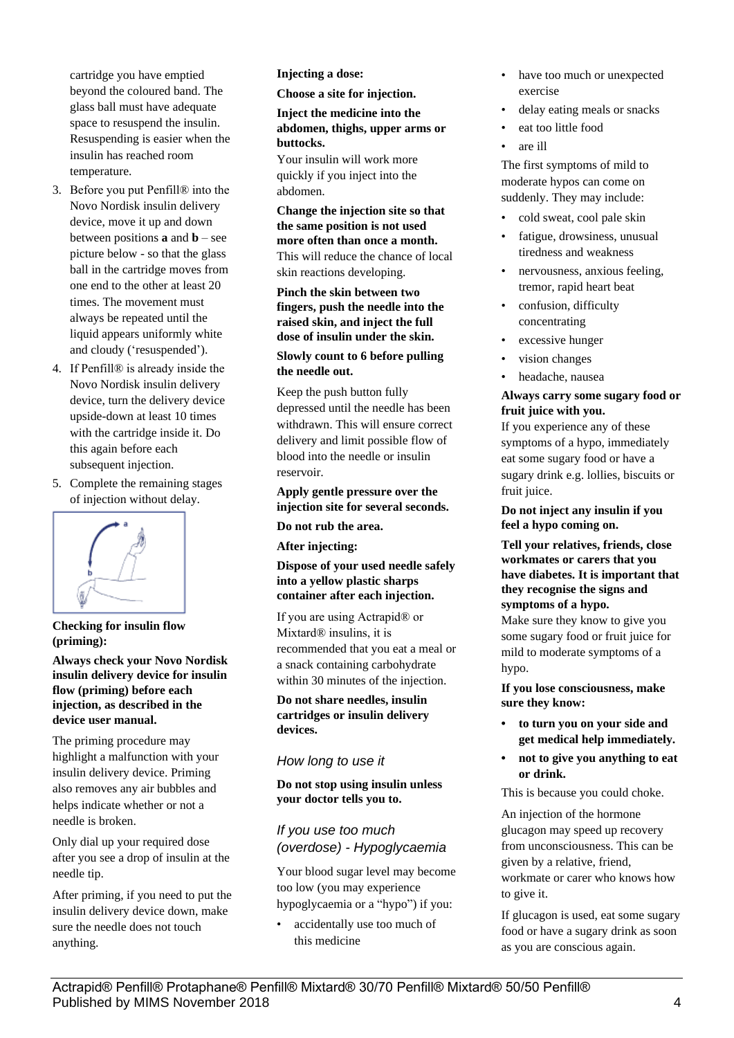cartridge you have emptied beyond the coloured band. The glass ball must have adequate space to resuspend the insulin. Resuspending is easier when the insulin has reached room temperature.

- 3. Before you put Penfill® into the Novo Nordisk insulin delivery device, move it up and down between positions **a** and **b** – see picture below - so that the glass ball in the cartridge moves from one end to the other at least 20 times. The movement must always be repeated until the liquid appears uniformly white and cloudy ('resuspended').
- 4. If Penfill® is already inside the Novo Nordisk insulin delivery device, turn the delivery device upside-down at least 10 times with the cartridge inside it. Do this again before each subsequent injection.
- 5. Complete the remaining stages of injection without delay.



**Checking for insulin flow (priming):**

**Always check your Novo Nordisk insulin delivery device for insulin flow (priming) before each injection, as described in the device user manual.**

The priming procedure may highlight a malfunction with your insulin delivery device. Priming also removes any air bubbles and helps indicate whether or not a needle is broken.

Only dial up your required dose after you see a drop of insulin at the needle tip.

After priming, if you need to put the insulin delivery device down, make sure the needle does not touch anything.

**Injecting a dose:**

**Choose a site for injection.**

#### **Inject the medicine into the abdomen, thighs, upper arms or buttocks.**

Your insulin will work more quickly if you inject into the abdomen.

**Change the injection site so that the same position is not used more often than once a month.** This will reduce the chance of local skin reactions developing.

**Pinch the skin between two fingers, push the needle into the raised skin, and inject the full dose of insulin under the skin.**

#### **Slowly count to 6 before pulling the needle out.**

Keep the push button fully depressed until the needle has been withdrawn. This will ensure correct delivery and limit possible flow of blood into the needle or insulin reservoir.

#### **Apply gentle pressure over the injection site for several seconds.**

**Do not rub the area.**

**After injecting:**

#### **Dispose of your used needle safely into a yellow plastic sharps container after each injection.**

If you are using Actrapid® or Mixtard® insulins, it is recommended that you eat a meal or a snack containing carbohydrate within 30 minutes of the injection.

**Do not share needles, insulin cartridges or insulin delivery devices.**

#### *How long to use it*

**Do not stop using insulin unless your doctor tells you to.**

*If you use too much (overdose) - Hypoglycaemia*

Your blood sugar level may become too low (you may experience hypoglycaemia or a "hypo") if you:

• accidentally use too much of this medicine

- have too much or unexpected exercise
- delay eating meals or snacks
- eat too little food
- are ill

The first symptoms of mild to moderate hypos can come on suddenly. They may include:

- cold sweat, cool pale skin
- fatigue, drowsiness, unusual tiredness and weakness
- nervousness, anxious feeling, tremor, rapid heart beat
- confusion, difficulty concentrating
- excessive hunger
- vision changes
- headache, nausea

#### **Always carry some sugary food or fruit juice with you.**

If you experience any of these symptoms of a hypo, immediately eat some sugary food or have a sugary drink e.g. lollies, biscuits or fruit juice.

#### **Do not inject any insulin if you feel a hypo coming on.**

**Tell your relatives, friends, close workmates or carers that you have diabetes. It is important that they recognise the signs and symptoms of a hypo.**

Make sure they know to give you some sugary food or fruit juice for mild to moderate symptoms of a hypo.

**If you lose consciousness, make sure they know:**

- **• to turn you on your side and get medical help immediately.**
- **• not to give you anything to eat or drink.**

This is because you could choke.

An injection of the hormone glucagon may speed up recovery from unconsciousness. This can be given by a relative, friend, workmate or carer who knows how to give it.

If glucagon is used, eat some sugary food or have a sugary drink as soon as you are conscious again.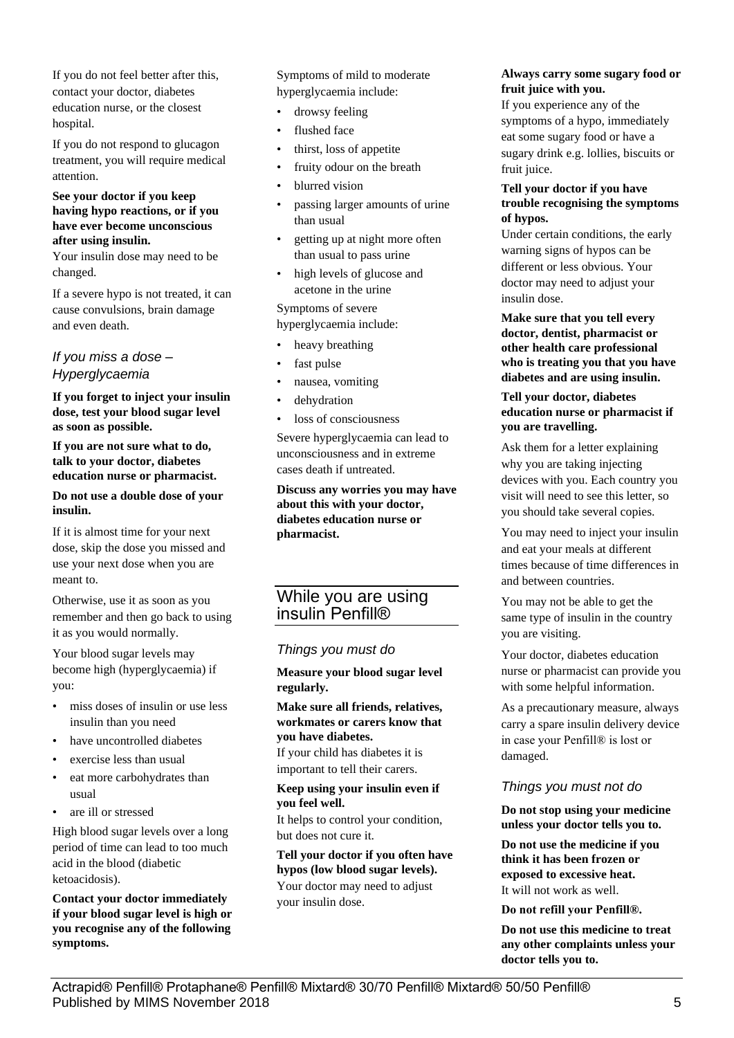If you do not feel better after this, contact your doctor, diabetes education nurse, or the closest hospital.

If you do not respond to glucagon treatment, you will require medical attention.

#### **See your doctor if you keep having hypo reactions, or if you have ever become unconscious after using insulin.**

Your insulin dose may need to be changed.

If a severe hypo is not treated, it can cause convulsions, brain damage and even death.

## *If you miss a dose – Hyperglycaemia*

**If you forget to inject your insulin dose, test your blood sugar level as soon as possible.**

**If you are not sure what to do, talk to your doctor, diabetes education nurse or pharmacist.**

#### **Do not use a double dose of your insulin.**

If it is almost time for your next dose, skip the dose you missed and use your next dose when you are meant to.

Otherwise, use it as soon as you remember and then go back to using it as you would normally.

Your blood sugar levels may become high (hyperglycaemia) if you:

- miss doses of insulin or use less insulin than you need
- have uncontrolled diabetes
- exercise less than usual
- eat more carbohydrates than usual
- are ill or stressed

High blood sugar levels over a long period of time can lead to too much acid in the blood (diabetic ketoacidosis).

**Contact your doctor immediately if your blood sugar level is high or you recognise any of the following symptoms.**

Symptoms of mild to moderate hyperglycaemia include:

- drowsy feeling
- flushed face
- thirst, loss of appetite
- fruity odour on the breath
- blurred vision
- passing larger amounts of urine than usual
- getting up at night more often than usual to pass urine
- high levels of glucose and acetone in the urine

Symptoms of severe hyperglycaemia include:

- heavy breathing
- fast pulse
- nausea, vomiting
- dehydration
- loss of consciousness

Severe hyperglycaemia can lead to unconsciousness and in extreme cases death if untreated.

**Discuss any worries you may have about this with your doctor, diabetes education nurse or pharmacist.**

## While you are using insulin Penfill®

#### *Things you must do*

**Measure your blood sugar level regularly.**

#### **Make sure all friends, relatives, workmates or carers know that you have diabetes.**

If your child has diabetes it is important to tell their carers.

#### **Keep using your insulin even if you feel well.**

It helps to control your condition, but does not cure it.

**Tell your doctor if you often have hypos (low blood sugar levels).** Your doctor may need to adjust your insulin dose.

#### **Always carry some sugary food or fruit juice with you.**

If you experience any of the symptoms of a hypo, immediately eat some sugary food or have a sugary drink e.g. lollies, biscuits or fruit juice.

#### **Tell your doctor if you have trouble recognising the symptoms of hypos.**

Under certain conditions, the early warning signs of hypos can be different or less obvious. Your doctor may need to adjust your insulin dose.

**Make sure that you tell every doctor, dentist, pharmacist or other health care professional who is treating you that you have diabetes and are using insulin.**

#### **Tell your doctor, diabetes education nurse or pharmacist if you are travelling.**

Ask them for a letter explaining why you are taking injecting devices with you. Each country you visit will need to see this letter, so you should take several copies.

You may need to inject your insulin and eat your meals at different times because of time differences in and between countries.

You may not be able to get the same type of insulin in the country you are visiting.

Your doctor, diabetes education nurse or pharmacist can provide you with some helpful information.

As a precautionary measure, always carry a spare insulin delivery device in case your Penfill® is lost or damaged.

## *Things you must not do*

**Do not stop using your medicine unless your doctor tells you to.**

**Do not use the medicine if you think it has been frozen or exposed to excessive heat.** It will not work as well.

**Do not refill your Penfill®.**

**Do not use this medicine to treat any other complaints unless your doctor tells you to.**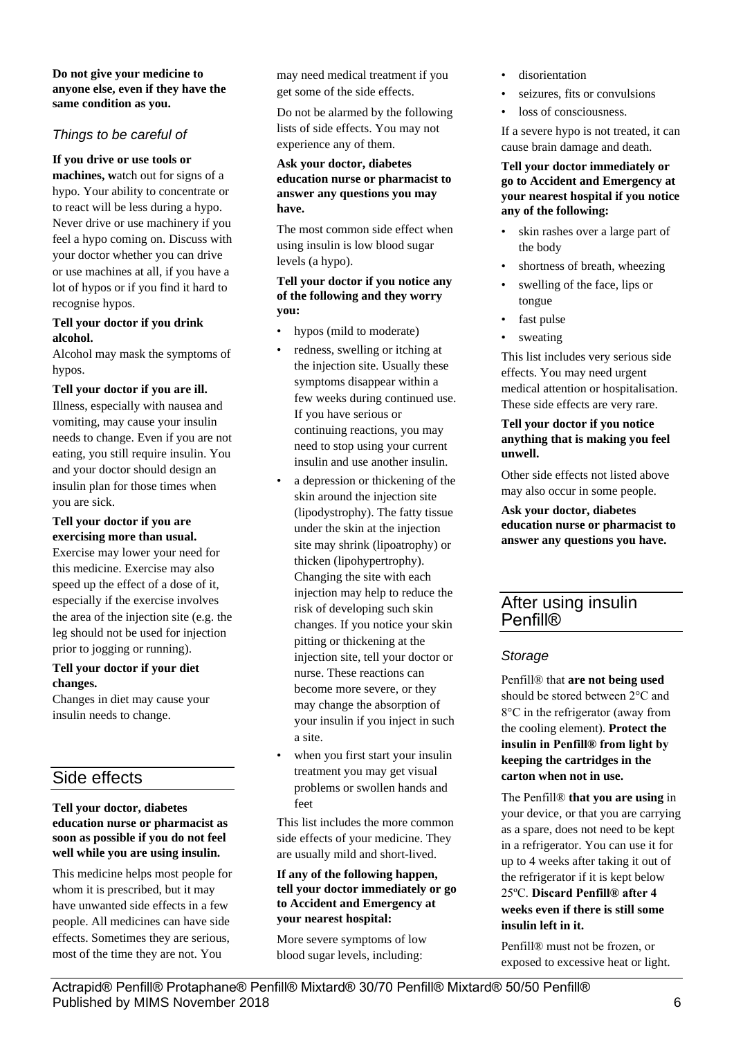#### **Do not give your medicine to anyone else, even if they have the same condition as you.**

## *Things to be careful of*

#### **If you drive or use tools or**

**machines, w**atch out for signs of a hypo. Your ability to concentrate or to react will be less during a hypo. Never drive or use machinery if you feel a hypo coming on. Discuss with your doctor whether you can drive or use machines at all, if you have a lot of hypos or if you find it hard to recognise hypos.

#### **Tell your doctor if you drink alcohol.**

Alcohol may mask the symptoms of hypos.

#### **Tell your doctor if you are ill.**

Illness, especially with nausea and vomiting, may cause your insulin needs to change. Even if you are not eating, you still require insulin. You and your doctor should design an insulin plan for those times when you are sick.

#### **Tell your doctor if you are exercising more than usual.**

Exercise may lower your need for this medicine. Exercise may also speed up the effect of a dose of it, especially if the exercise involves the area of the injection site (e.g. the leg should not be used for injection prior to jogging or running).

#### **Tell your doctor if your diet changes.**

Changes in diet may cause your insulin needs to change.

# Side effects

#### **Tell your doctor, diabetes education nurse or pharmacist as soon as possible if you do not feel well while you are using insulin.**

This medicine helps most people for whom it is prescribed, but it may have unwanted side effects in a few people. All medicines can have side effects. Sometimes they are serious, most of the time they are not. You

may need medical treatment if you get some of the side effects.

Do not be alarmed by the following lists of side effects. You may not experience any of them.

#### **Ask your doctor, diabetes education nurse or pharmacist to answer any questions you may have.**

The most common side effect when using insulin is low blood sugar levels (a hypo).

#### **Tell your doctor if you notice any of the following and they worry you:**

- hypos (mild to moderate)
- redness, swelling or itching at the injection site. Usually these symptoms disappear within a few weeks during continued use. If you have serious or continuing reactions, you may need to stop using your current insulin and use another insulin.
- a depression or thickening of the skin around the injection site (lipodystrophy). The fatty tissue under the skin at the injection site may shrink (lipoatrophy) or thicken (lipohypertrophy). Changing the site with each injection may help to reduce the risk of developing such skin changes. If you notice your skin pitting or thickening at the injection site, tell your doctor or nurse. These reactions can become more severe, or they may change the absorption of your insulin if you inject in such a site.
- when you first start your insulin treatment you may get visual problems or swollen hands and feet

This list includes the more common side effects of your medicine. They are usually mild and short-lived.

#### **If any of the following happen, tell your doctor immediately or go to Accident and Emergency at your nearest hospital:**

More severe symptoms of low blood sugar levels, including:

- disorientation
- seizures, fits or convulsions
- loss of consciousness.

If a severe hypo is not treated, it can cause brain damage and death.

#### **Tell your doctor immediately or go to Accident and Emergency at your nearest hospital if you notice any of the following:**

- skin rashes over a large part of the body
- shortness of breath, wheezing
- swelling of the face, lips or tongue
- fast pulse
- sweating

This list includes very serious side effects. You may need urgent medical attention or hospitalisation. These side effects are very rare.

#### **Tell your doctor if you notice anything that is making you feel unwell.**

Other side effects not listed above may also occur in some people.

**Ask your doctor, diabetes education nurse or pharmacist to answer any questions you have.**

## After using insulin **Penfill®**

#### *Storage*

Penfill® that **are not being used** should be stored between 2°C and 8°C in the refrigerator (away from the cooling element). **Protect the insulin in Penfill® from light by keeping the cartridges in the carton when not in use.**

The Penfill® **that you are using** in your device, or that you are carrying as a spare, does not need to be kept in a refrigerator. You can use it for up to 4 weeks after taking it out of the refrigerator if it is kept below 25ºC. **Discard Penfill® after 4 weeks even if there is still some insulin left in it.**

Penfill® must not be frozen, or exposed to excessive heat or light.